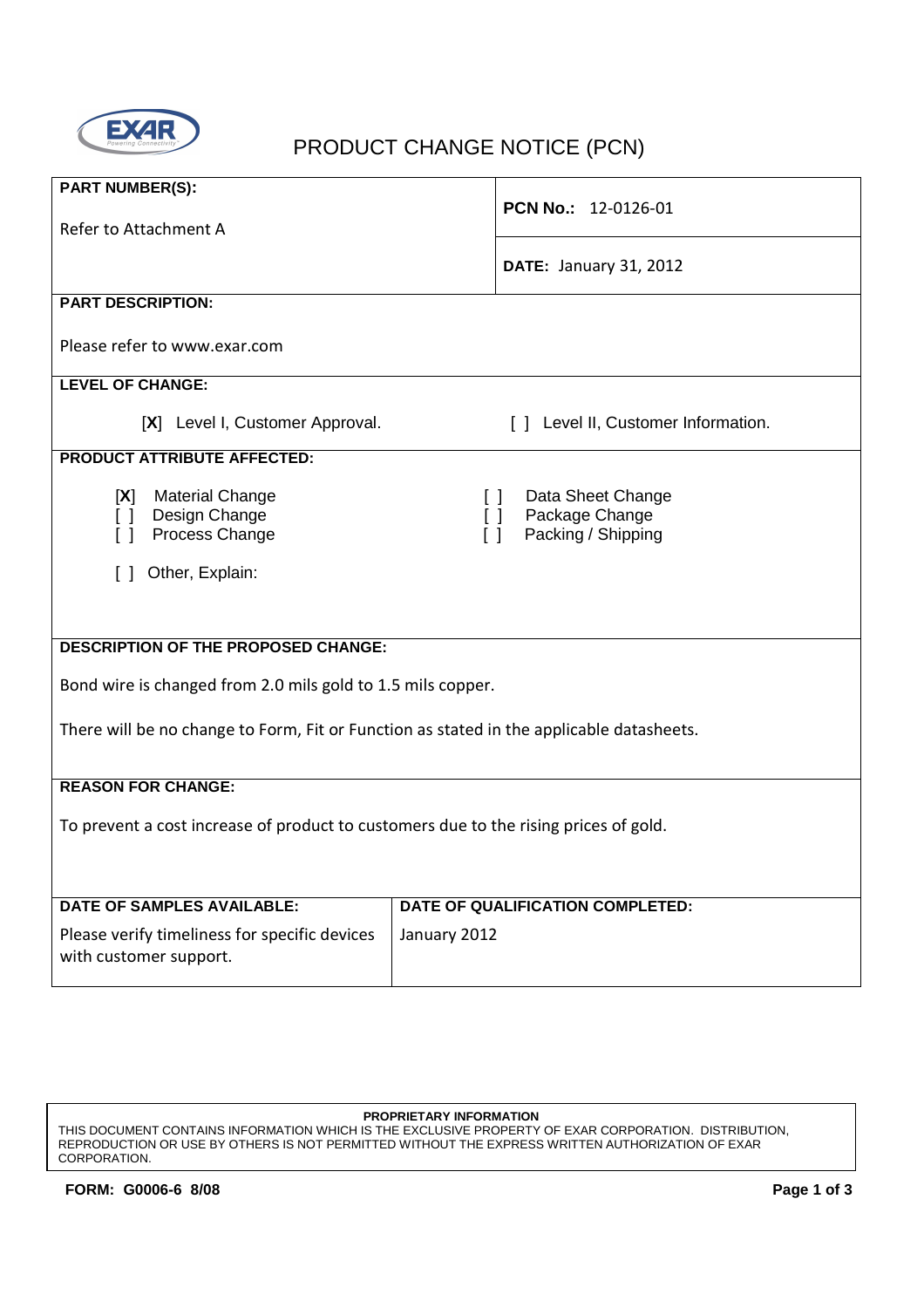

# **EXAR PRODUCT CHANGE NOTICE (PCN)**

| <b>PART NUMBER(S):</b>                                                                                          |                                                                                     |  |  |  |  |  |
|-----------------------------------------------------------------------------------------------------------------|-------------------------------------------------------------------------------------|--|--|--|--|--|
|                                                                                                                 | PCN No.: 12-0126-01                                                                 |  |  |  |  |  |
| Refer to Attachment A                                                                                           |                                                                                     |  |  |  |  |  |
|                                                                                                                 | <b>DATE: January 31, 2012</b>                                                       |  |  |  |  |  |
| <b>PART DESCRIPTION:</b>                                                                                        |                                                                                     |  |  |  |  |  |
| Please refer to www.exar.com                                                                                    |                                                                                     |  |  |  |  |  |
| <b>LEVEL OF CHANGE:</b>                                                                                         |                                                                                     |  |  |  |  |  |
| [X] Level I, Customer Approval.<br>[ ] Level II, Customer Information.                                          |                                                                                     |  |  |  |  |  |
| <b>PRODUCT ATTRIBUTE AFFECTED:</b>                                                                              |                                                                                     |  |  |  |  |  |
| <b>Material Change</b><br>[X]<br>Design Change<br>$\begin{bmatrix} 1 \end{bmatrix}$<br>Process Change<br>$\Box$ | Data Sheet Change<br>ΙI<br>Package Change<br>$\Box$<br>Packing / Shipping<br>$\Box$ |  |  |  |  |  |
| Other, Explain:<br>ΙI                                                                                           |                                                                                     |  |  |  |  |  |
|                                                                                                                 |                                                                                     |  |  |  |  |  |
|                                                                                                                 |                                                                                     |  |  |  |  |  |
| <b>DESCRIPTION OF THE PROPOSED CHANGE:</b>                                                                      |                                                                                     |  |  |  |  |  |
| Bond wire is changed from 2.0 mils gold to 1.5 mils copper.                                                     |                                                                                     |  |  |  |  |  |
| There will be no change to Form, Fit or Function as stated in the applicable datasheets.                        |                                                                                     |  |  |  |  |  |
|                                                                                                                 |                                                                                     |  |  |  |  |  |
| <b>REASON FOR CHANGE:</b>                                                                                       |                                                                                     |  |  |  |  |  |
| To prevent a cost increase of product to customers due to the rising prices of gold.                            |                                                                                     |  |  |  |  |  |
|                                                                                                                 |                                                                                     |  |  |  |  |  |
|                                                                                                                 |                                                                                     |  |  |  |  |  |
| <b>DATE OF SAMPLES AVAILABLE:</b>                                                                               | DATE OF QUALIFICATION COMPLETED:                                                    |  |  |  |  |  |
| Please verify timeliness for specific devices<br>with customer support.                                         | January 2012                                                                        |  |  |  |  |  |
|                                                                                                                 |                                                                                     |  |  |  |  |  |

**PROPRIETARY INFORMATION**

THIS DOCUMENT CONTAINS INFORMATION WHICH IS THE EXCLUSIVE PROPERTY OF EXAR CORPORATION. DISTRIBUTION, REPRODUCTION OR USE BY OTHERS IS NOT PERMITTED WITHOUT THE EXPRESS WRITTEN AUTHORIZATION OF EXAR CORPORATION.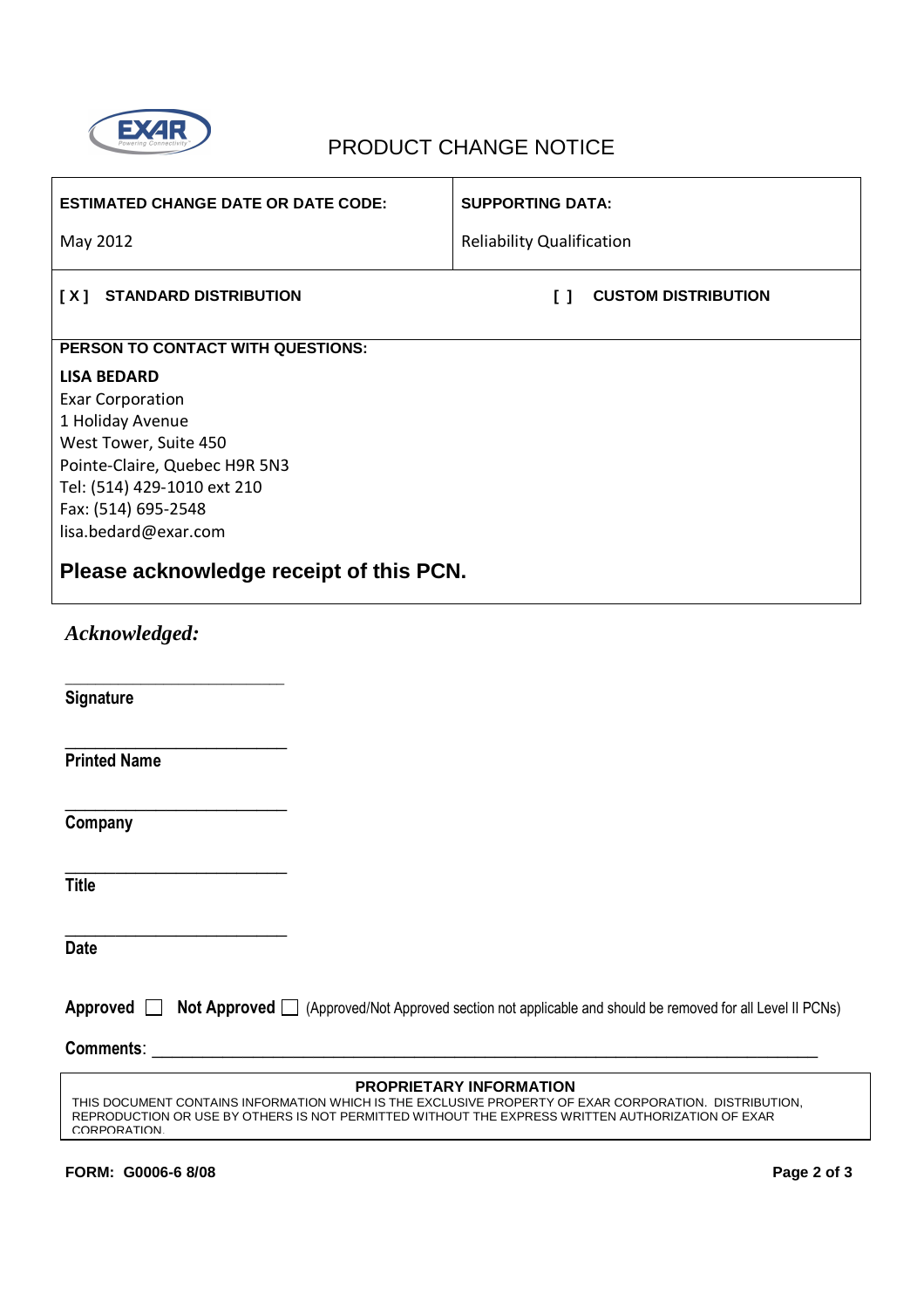

## EXAR PRODUCT CHANGE NOTICE

| <b>ESTIMATED CHANGE DATE OR DATE CODE:</b>                                                                                                                                                                                                                 | <b>SUPPORTING DATA:</b>                                               |  |  |  |  |
|------------------------------------------------------------------------------------------------------------------------------------------------------------------------------------------------------------------------------------------------------------|-----------------------------------------------------------------------|--|--|--|--|
| May 2012                                                                                                                                                                                                                                                   | <b>Reliability Qualification</b>                                      |  |  |  |  |
| [X] STANDARD DISTRIBUTION                                                                                                                                                                                                                                  | <b>CUSTOM DISTRIBUTION</b><br>$\begin{smallmatrix}1\end{smallmatrix}$ |  |  |  |  |
| PERSON TO CONTACT WITH QUESTIONS:                                                                                                                                                                                                                          |                                                                       |  |  |  |  |
| <b>LISA BEDARD</b><br><b>Exar Corporation</b><br>1 Holiday Avenue<br>West Tower, Suite 450<br>Pointe-Claire, Quebec H9R 5N3<br>Tel: (514) 429-1010 ext 210<br>Fax: (514) 695-2548<br>lisa.bedard@exar.com                                                  |                                                                       |  |  |  |  |
| Please acknowledge receipt of this PCN.                                                                                                                                                                                                                    |                                                                       |  |  |  |  |
| Acknowledged:                                                                                                                                                                                                                                              |                                                                       |  |  |  |  |
| Signature                                                                                                                                                                                                                                                  |                                                                       |  |  |  |  |
| <b>Printed Name</b>                                                                                                                                                                                                                                        |                                                                       |  |  |  |  |
| Company                                                                                                                                                                                                                                                    |                                                                       |  |  |  |  |
| <b>Title</b>                                                                                                                                                                                                                                               |                                                                       |  |  |  |  |
| <b>Date</b>                                                                                                                                                                                                                                                |                                                                       |  |  |  |  |
| Approved <b>Not Approved</b> (Approved/Not Approved section not applicable and should be removed for all Level II PCNs)                                                                                                                                    |                                                                       |  |  |  |  |
|                                                                                                                                                                                                                                                            |                                                                       |  |  |  |  |
| <b>PROPRIETARY INFORMATION</b><br>THIS DOCUMENT CONTAINS INFORMATION WHICH IS THE EXCLUSIVE PROPERTY OF EXAR CORPORATION. DISTRIBUTION,<br>REPRODUCTION OR USE BY OTHERS IS NOT PERMITTED WITHOUT THE EXPRESS WRITTEN AUTHORIZATION OF EXAR<br>CORPORATION |                                                                       |  |  |  |  |